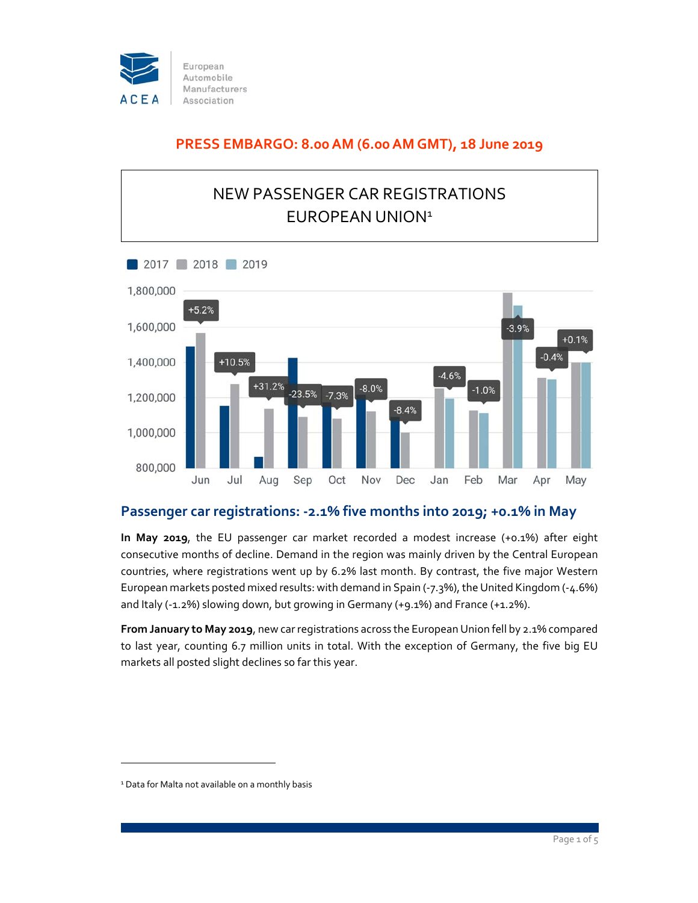

## **PRESS EMBARGO: 8.00 AM (6.00 AM GMT), 18 June 2019**

## NEW PASSENGER CAR REGISTRATIONS EUROPEAN UNION1



### **Passenger car registrations: ‐2.1% five months into 2019; +0.1% in May**

**In May 2019**, the EU passenger car market recorded a modest increase (+0.1%) after eight consecutive months of decline. Demand in the region was mainly driven by the Central European countries, where registrations went up by 6.2% last month. By contrast, the five major Western European markets posted mixed results: with demand in Spain (-7.3%), the United Kingdom (-4.6%) and Italy (-1.2%) slowing down, but growing in Germany (+9.1%) and France (+1.2%).

**From January to May 2019**, new carregistrations across the European Union fell by 2.1% compared to last year, counting 6.7 million units in total. With the exception of Germany, the five big EU markets all posted slight declines so far this year.

<sup>&</sup>lt;sup>1</sup> Data for Malta not available on a monthly basis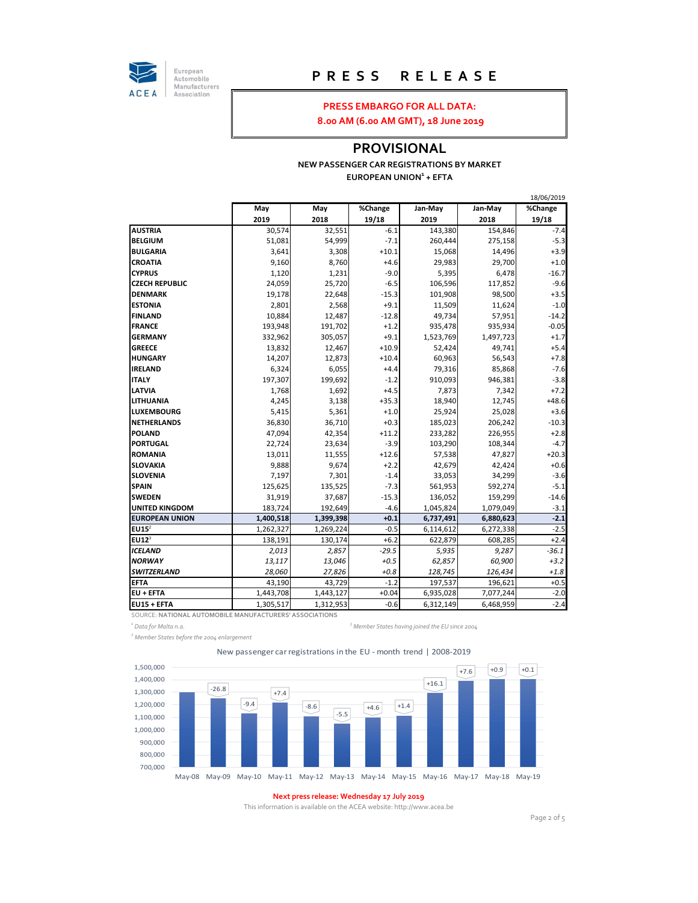

European<br>Automobile Manufacturers Association

## **P R E S S R E L E A S E**

#### **PRESS EMBARGO FOR ALL DATA:**

**8.00 AM (6.00 AM GMT), 18 June 2019**

#### **PROVISIONAL**

#### **NEW PASSENGER CAR REGISTRATIONS BY MARKET EUROPEAN UNION<sup>1</sup> + EFTA**

|                       |           |           |         |           |           | 18/06/2019 |
|-----------------------|-----------|-----------|---------|-----------|-----------|------------|
|                       | May       | May       | %Change | Jan-May   | Jan-May   | %Change    |
|                       | 2019      | 2018      | 19/18   | 2019      | 2018      | 19/18      |
| <b>AUSTRIA</b>        | 30,574    | 32,551    | $-6.1$  | 143,380   | 154,846   | $-7.4$     |
| BELGIUM               | 51,081    | 54,999    | $-7.1$  | 260,444   | 275,158   | $-5.3$     |
| <b>BULGARIA</b>       | 3,641     | 3,308     | $+10.1$ | 15,068    | 14,496    | $+3.9$     |
| <b>CROATIA</b>        | 9,160     | 8,760     | $+4.6$  | 29,983    | 29,700    | $+1.0$     |
| <b>CYPRUS</b>         | 1,120     | 1,231     | $-9.0$  | 5,395     | 6,478     | $-16.7$    |
| <b>CZECH REPUBLIC</b> | 24,059    | 25,720    | $-6.5$  | 106,596   | 117,852   | $-9.6$     |
| DENMARK               | 19,178    | 22,648    | $-15.3$ | 101,908   | 98,500    | $+3.5$     |
| <b>ESTONIA</b>        | 2,801     | 2,568     | $+9.1$  | 11,509    | 11,624    | $-1.0$     |
| FINLAND               | 10,884    | 12,487    | $-12.8$ | 49,734    | 57,951    | $-14.2$    |
| <b>FRANCE</b>         | 193,948   | 191,702   | $+1.2$  | 935,478   | 935,934   | $-0.05$    |
| <b>GERMANY</b>        | 332,962   | 305,057   | $+9.1$  | 1,523,769 | 1,497,723 | $+1.7$     |
| <b>GREECE</b>         | 13,832    | 12,467    | $+10.9$ | 52,424    | 49,741    | $+5.4$     |
| <b>HUNGARY</b>        | 14,207    | 12,873    | $+10.4$ | 60,963    | 56,543    | $+7.8$     |
| <b>IRELAND</b>        | 6,324     | 6,055     | $+4.4$  | 79,316    | 85,868    | $-7.6$     |
| <b>ITALY</b>          | 197,307   | 199,692   | $-1.2$  | 910,093   | 946,381   | $-3.8$     |
| LATVIA                | 1,768     | 1,692     | $+4.5$  | 7,873     | 7,342     | $+7.2$     |
| LITHUANIA             | 4,245     | 3,138     | $+35.3$ | 18,940    | 12,745    | $+48.6$    |
| LUXEMBOURG            | 5,415     | 5,361     | $+1.0$  | 25,924    | 25,028    | $+3.6$     |
| NETHERLANDS           | 36,830    | 36,710    | $+0.3$  | 185,023   | 206,242   | $-10.3$    |
| <b>POLAND</b>         | 47,094    | 42,354    | $+11.2$ | 233,282   | 226,955   | $+2.8$     |
| <b>PORTUGAL</b>       | 22,724    | 23,634    | $-3.9$  | 103,290   | 108,344   | $-4.7$     |
| <b>ROMANIA</b>        | 13,011    | 11,555    | $+12.6$ | 57,538    | 47,827    | $+20.3$    |
| <b>SLOVAKIA</b>       | 9,888     | 9,674     | $+2.2$  | 42,679    | 42,424    | $+0.6$     |
| <b>SLOVENIA</b>       | 7,197     | 7,301     | $-1.4$  | 33,053    | 34,299    | $-3.6$     |
| SPAIN                 | 125,625   | 135,525   | $-7.3$  | 561,953   | 592,274   | $-5.1$     |
| <b>SWEDEN</b>         | 31,919    | 37,687    | $-15.3$ | 136,052   | 159,299   | $-14.6$    |
| UNITED KINGDOM        | 183,724   | 192,649   | -4.6    | 1,045,824 | 1,079,049 | $-3.1$     |
| <b>EUROPEAN UNION</b> | 1,400,518 | 1,399,398 | $+0.1$  | 6,737,491 | 6,880,623 | $-2.1$     |
| $EU15^2$              | 1,262,327 | 1,269,224 | $-0.5$  | 6,114,612 | 6,272,338 | $-2.5$     |
| $EU12^3$              | 138,191   | 130,174   | $+6.2$  | 622,879   | 608,285   | $+2.4$     |
| ICELAND               | 2,013     | 2,857     | $-29.5$ | 5,935     | 9,287     | $-36.1$    |
| <b>NORWAY</b>         | 13,117    | 13,046    | $+0.5$  | 62,857    | 60,900    | $+3.2$     |
| <b>SWITZERLAND</b>    | 28,060    | 27,826    | $+0.8$  | 128,745   | 126,434   | $+1.8$     |
| <b>EFTA</b>           | 43,190    | 43,729    | $-1.2$  | 197,537   | 196,621   | $+0.5$     |
| EU + EFTA             | 1,443,708 | 1,443,127 | $+0.04$ | 6,935,028 | 7,077,244 | $-2.0$     |
| EU15 + EFTA           | 1,305,517 | 1,312,953 | $-0.6$  | 6,312,149 | 6,468,959 | $-2.4$     |

SOURCE: **NATIONAL AUTOMOBILE MANUFACTURERS' ASSOCIATIONS**

*1 Data for Malta n.a. <sup>3</sup> <sup>2</sup> Member States before the 2004 enlargement*

*Member States having joined the EU since 2004*

New passenger car registrations in the EU ‐ month trend | 2008‐2019



#### **Next press release: Wednesday 17 July 2019**

This information is available on the ACEA website: http://www.acea.be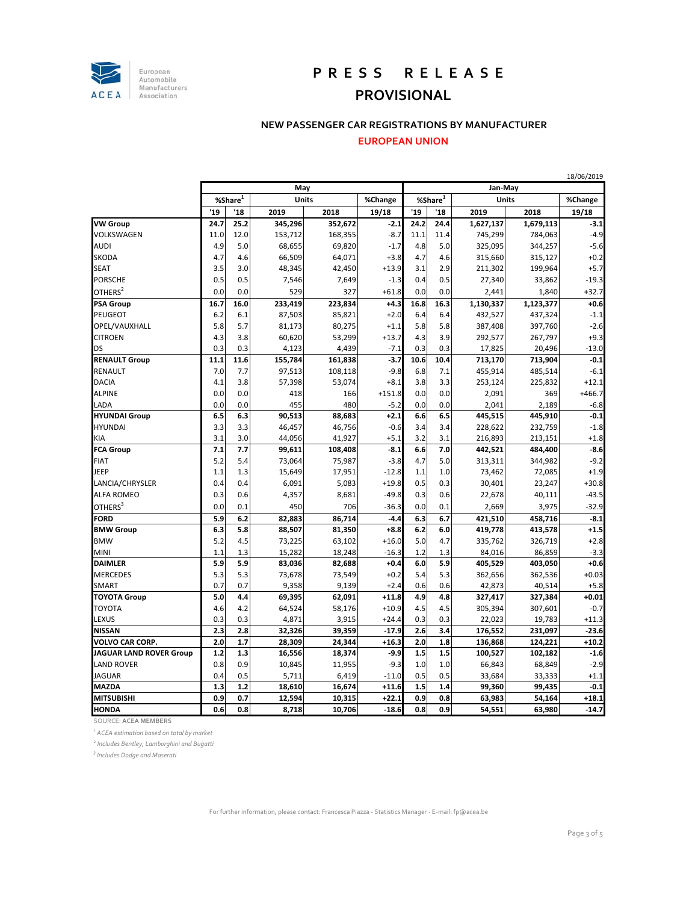

# **P R E S S R E L E A S E**

## **PROVISIONAL**

#### **NEW PASSENGER CAR REGISTRATIONS BY MANUFACTURER**

#### **EUROPEAN UNION**

|                                |               |      |              |         |          |                     | 18/06/2019 |           |           |          |  |
|--------------------------------|---------------|------|--------------|---------|----------|---------------------|------------|-----------|-----------|----------|--|
|                                | May           |      |              | Jan-May |          |                     |            |           |           |          |  |
|                                | $%$ Share $1$ |      | <b>Units</b> |         | %Change  | %Share <sup>1</sup> |            | Units     |           | %Change  |  |
|                                | '19           | '18  | 2019         | 2018    | 19/18    | '19                 | '18        | 2019      | 2018      | 19/18    |  |
| <b>VW Group</b>                | 24.7          | 25.2 | 345,296      | 352,672 | $-2.1$   | 24.2                | 24.4       | 1,627,137 | 1,679,113 | $-3.1$   |  |
| VOLKSWAGEN                     | 11.0          | 12.0 | 153,712      | 168,355 | $-8.7$   | 11.1                | 11.4       | 745,299   | 784,063   | $-4.9$   |  |
| <b>AUDI</b>                    | 4.9           | 5.0  | 68,655       | 69,820  | $-1.7$   | 4.8                 | 5.0        | 325,095   | 344,257   | $-5.6$   |  |
| <b>SKODA</b>                   | 4.7           | 4.6  | 66,509       | 64,071  | $+3.8$   | 4.7                 | 4.6        | 315,660   | 315,127   | $+0.2$   |  |
| <b>SEAT</b>                    | 3.5           | 3.0  | 48,345       | 42,450  | $+13.9$  | 3.1                 | 2.9        | 211,302   | 199,964   | $+5.7$   |  |
| <b>PORSCHE</b>                 | 0.5           | 0.5  | 7,546        | 7,649   | $-1.3$   | 0.4                 | 0.5        | 27,340    | 33,862    | $-19.3$  |  |
| OTHERS <sup>2</sup>            | 0.0           | 0.0  | 529          | 327     | $+61.8$  | 0.0                 | 0.0        | 2,441     | 1,840     | $+32.7$  |  |
| <b>PSA Group</b>               | 16.7          | 16.0 | 233,419      | 223,834 | $+4.3$   | 16.8                | 16.3       | 1,130,337 | 1,123,377 | $+0.6$   |  |
| <b>PEUGEOT</b>                 | 6.2           | 6.1  | 87,503       | 85,821  | $+2.0$   | 6.4                 | 6.4        | 432,527   | 437,324   | $-1.1$   |  |
| OPEL/VAUXHALL                  | 5.8           | 5.7  | 81,173       | 80,275  | $+1.1$   | 5.8                 | 5.8        | 387,408   | 397,760   | $-2.6$   |  |
| <b>CITROEN</b>                 | 4.3           | 3.8  | 60,620       | 53,299  | $+13.7$  | 4.3                 | 3.9        | 292,577   | 267,797   | $+9.3$   |  |
| DS                             | 0.3           | 0.3  | 4,123        | 4,439   | $-7.1$   | 0.3                 | 0.3        | 17,825    | 20,496    | $-13.0$  |  |
| <b>RENAULT Group</b>           | 11.1          | 11.6 | 155,784      | 161,838 | $-3.7$   | 10.6                | 10.4       | 713,170   | 713,904   | $-0.1$   |  |
| <b>RENAULT</b>                 | 7.0           | 7.7  | 97,513       | 108,118 | $-9.8$   | 6.8                 | 7.1        | 455,914   | 485,514   | $-6.1$   |  |
| <b>DACIA</b>                   | 4.1           | 3.8  | 57,398       | 53,074  | $+8.1$   | 3.8                 | 3.3        | 253,124   | 225,832   | $+12.1$  |  |
| <b>ALPINE</b>                  | 0.0           | 0.0  | 418          | 166     | $+151.8$ | 0.0                 | 0.0        | 2,091     | 369       | $+466.7$ |  |
| LADA                           | 0.0           | 0.0  | 455          | 480     | $-5.2$   | 0.0                 | 0.0        | 2,041     | 2,189     | $-6.8$   |  |
| <b>HYUNDAI Group</b>           | 6.5           | 6.3  | 90,513       | 88,683  | $+2.1$   | 6.6                 | 6.5        | 445,515   | 445,910   | $-0.1$   |  |
| <b>HYUNDAI</b>                 | 3.3           | 3.3  | 46,457       | 46,756  | $-0.6$   | 3.4                 | 3.4        | 228,622   | 232,759   | $-1.8$   |  |
| KIA                            | 3.1           | 3.0  | 44,056       | 41,927  | $+5.1$   | 3.2                 | 3.1        | 216,893   | 213,151   | $+1.8$   |  |
| <b>FCA Group</b>               | 7.1           | 7.7  | 99,611       | 108,408 | $-8.1$   | 6.6                 | 7.0        | 442,521   | 484,400   | $-8.6$   |  |
| <b>FIAT</b>                    | 5.2           | 5.4  | 73,064       | 75,987  | $-3.8$   | 4.7                 | 5.0        | 313,311   | 344,982   | $-9.2$   |  |
| JEEP                           | 1.1           | 1.3  | 15,649       | 17,951  | $-12.8$  | 1.1                 | 1.0        | 73,462    | 72,085    | $+1.9$   |  |
| LANCIA/CHRYSLER                | 0.4           | 0.4  | 6,091        | 5,083   | $+19.8$  | 0.5                 | 0.3        | 30,401    | 23,247    | $+30.8$  |  |
| <b>ALFA ROMEO</b>              | 0.3           | 0.6  | 4,357        | 8,681   | $-49.8$  | 0.3                 | 0.6        | 22,678    | 40,111    | $-43.5$  |  |
| OTHERS <sup>3</sup>            | 0.0           | 0.1  | 450          | 706     | $-36.3$  | 0.0                 | 0.1        | 2,669     | 3,975     | $-32.9$  |  |
| <b>FORD</b>                    | 5.9           | 6.2  | 82,883       | 86,714  | $-4.4$   | 6.3                 | 6.7        | 421,510   | 458,716   | $-8.1$   |  |
| <b>BMW Group</b>               | 6.3           | 5.8  | 88,507       | 81,350  | $+8.8$   | 6.2                 | 6.0        | 419,778   | 413,578   | $+1.5$   |  |
| <b>BMW</b>                     | 5.2           | 4.5  | 73,225       | 63,102  | $+16.0$  | 5.0                 | 4.7        | 335,762   | 326,719   | $+2.8$   |  |
| <b>MINI</b>                    | 1.1           | 1.3  | 15,282       | 18,248  | $-16.3$  | 1.2                 | 1.3        | 84,016    | 86,859    | $-3.3$   |  |
| <b>DAIMLER</b>                 | 5.9           | 5.9  | 83,036       | 82,688  | $+0.4$   | 6.0                 | 5.9        | 405,529   | 403,050   | $+0.6$   |  |
| <b>MERCEDES</b>                | 5.3           | 5.3  | 73,678       | 73,549  | $+0.2$   | 5.4                 | 5.3        | 362,656   | 362,536   | $+0.03$  |  |
| <b>SMART</b>                   | 0.7           | 0.7  | 9,358        | 9,139   | $+2.4$   | 0.6                 | 0.6        | 42,873    | 40,514    | $+5.8$   |  |
| <b>TOYOTA Group</b>            | 5.0           | 4.4  | 69,395       | 62,091  | $+11.8$  | 4.9                 | 4.8        | 327,417   | 327,384   | $+0.01$  |  |
| <b>TOYOTA</b>                  | 4.6           | 4.2  | 64,524       | 58,176  | $+10.9$  | 4.5                 | 4.5        | 305,394   | 307,601   | $-0.7$   |  |
| LEXUS                          | 0.3           | 0.3  | 4,871        | 3,915   | $+24.4$  | 0.3                 | 0.3        | 22,023    | 19,783    | $+11.3$  |  |
| <b>NISSAN</b>                  | 2.3           | 2.8  | 32,326       | 39,359  | $-17.9$  | 2.6                 | 3.4        | 176,552   | 231,097   | $-23.6$  |  |
| <b>VOLVO CAR CORP.</b>         | 2.0           | 1.7  | 28,309       | 24,344  | $+16.3$  | 2.0                 | 1.8        | 136,868   | 124,221   | $+10.2$  |  |
| <b>JAGUAR LAND ROVER Group</b> | 1.2           | 1.3  | 16,556       | 18,374  | $-9.9$   | 1.5                 | 1.5        | 100,527   | 102,182   | $-1.6$   |  |
| <b>LAND ROVER</b>              | 0.8           | 0.9  | 10,845       | 11,955  | $-9.3$   | 1.0                 | 1.0        | 66,843    | 68,849    | $-2.9$   |  |
| <b>JAGUAR</b>                  | 0.4           | 0.5  | 5,711        | 6,419   | $-11.0$  | 0.5                 | 0.5        | 33,684    | 33,333    | $+1.1$   |  |
| <b>MAZDA</b>                   | 1.3           | 1.2  | 18,610       | 16,674  | $+11.6$  | 1.5                 | 1.4        | 99,360    | 99,435    | $-0.1$   |  |
| <b>MITSUBISHI</b>              | 0.9           | 0.7  | 12,594       | 10,315  | $+22.1$  | 0.9                 | 0.8        | 63,983    | 54,164    | $+18.1$  |  |
| <b>HONDA</b>                   | 0.6           | 0.8  | 8,718        | 10,706  | $-18.6$  | 0.8                 | 0.9        | 54,551    | 63,980    | $-14.7$  |  |

SOURCE: **ACEA MEMBERS**

*1 ACEA estimation based on total by market*

*<sup>2</sup> Includes Bentley, Lamborghini and Bugatti*

*3 Includes Dodge and Maserati*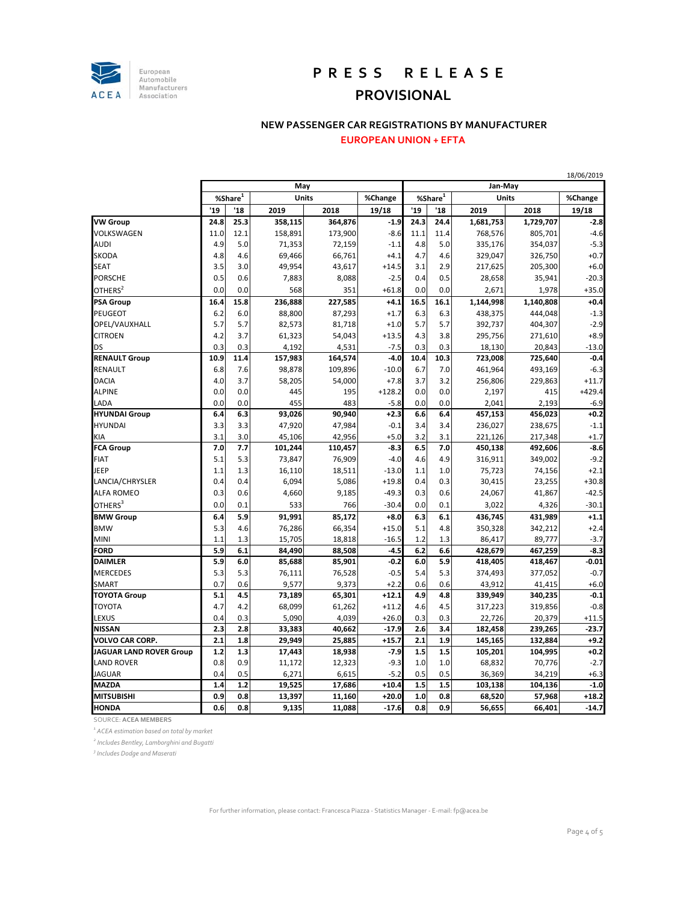

# **P R E S S R E L E A S E**

## **PROVISIONAL**

#### **NEW PASSENGER CAR REGISTRATIONS BY MANUFACTURER**

#### **EUROPEAN UNION + EFTA**

|                         |                     |      |         |         |          | 18/06/2019  |      |              |           |          |
|-------------------------|---------------------|------|---------|---------|----------|-------------|------|--------------|-----------|----------|
|                         | May                 |      |         |         | Jan-May  |             |      |              |           |          |
|                         | %Share <sup>1</sup> |      | Units   |         | %Change  | %Share $^1$ |      | <b>Units</b> |           | %Change  |
|                         | '19                 | '18  | 2019    | 2018    | 19/18    | '19         | '18  | 2019         | 2018      | 19/18    |
| <b>VW</b> Group         | 24.8                | 25.3 | 358.115 | 364,876 | $-1.9$   | 24.3        | 24.4 | 1,681,753    | 1,729,707 | $-2.8$   |
| VOLKSWAGEN              | 11.0                | 12.1 | 158,891 | 173,900 | $-8.6$   | 11.1        | 11.4 | 768,576      | 805,701   | $-4.6$   |
| <b>AUDI</b>             | 4.9                 | 5.0  | 71,353  | 72,159  | $-1.1$   | 4.8         | 5.0  | 335,176      | 354,037   | $-5.3$   |
| <b>SKODA</b>            | 4.8                 | 4.6  | 69,466  | 66,761  | $+4.1$   | 4.7         | 4.6  | 329,047      | 326,750   | $+0.7$   |
| <b>SEAT</b>             | 3.5                 | 3.0  | 49,954  | 43,617  | $+14.5$  | 3.1         | 2.9  | 217,625      | 205,300   | $+6.0$   |
| <b>PORSCHE</b>          | 0.5                 | 0.6  | 7,883   | 8,088   | $-2.5$   | 0.4         | 0.5  | 28,658       | 35,941    | $-20.3$  |
| OTHERS <sup>2</sup>     | 0.0                 | 0.0  | 568     | 351     | $+61.8$  | 0.0         | 0.0  | 2,671        | 1,978     | $+35.0$  |
| <b>PSA Group</b>        | 16.4                | 15.8 | 236,888 | 227,585 | $+4.1$   | 16.5        | 16.1 | 1,144,998    | 1,140,808 | $+0.4$   |
| PEUGEOT                 | 6.2                 | 6.0  | 88,800  | 87,293  | $+1.7$   | 6.3         | 6.3  | 438,375      | 444,048   | $-1.3$   |
| OPEL/VAUXHALL           | 5.7                 | 5.7  | 82,573  | 81,718  | $+1.0$   | 5.7         | 5.7  | 392,737      | 404,307   | $-2.9$   |
| <b>CITROEN</b>          | 4.2                 | 3.7  | 61,323  | 54,043  | $+13.5$  | 4.3         | 3.8  | 295,756      | 271,610   | $+8.9$   |
| <b>DS</b>               | 0.3                 | 0.3  | 4,192   | 4,531   | $-7.5$   | 0.3         | 0.3  | 18,130       | 20,843    | $-13.0$  |
| <b>RENAULT Group</b>    | 10.9                | 11.4 | 157,983 | 164,574 | $-4.0$   | 10.4        | 10.3 | 723,008      | 725,640   | $-0.4$   |
| <b>RENAULT</b>          | 6.8                 | 7.6  | 98,878  | 109,896 | $-10.0$  | 6.7         | 7.0  | 461,964      | 493,169   | $-6.3$   |
| <b>DACIA</b>            | 4.0                 | 3.7  | 58,205  | 54,000  | $+7.8$   | 3.7         | 3.2  | 256,806      | 229,863   | $+11.7$  |
| <b>ALPINE</b>           | 0.0                 | 0.0  | 445     | 195     | $+128.2$ | 0.0         | 0.0  | 2,197        | 415       | $+429.4$ |
| LADA                    | 0.0                 | 0.0  | 455     | 483     | $-5.8$   | 0.0         | 0.0  | 2,041        | 2,193     | $-6.9$   |
| <b>HYUNDAI Group</b>    | 6.4                 | 6.3  | 93,026  | 90,940  | $+2.3$   | 6.6         | 6.4  | 457,153      | 456,023   | $+0.2$   |
| <b>HYUNDAI</b>          | 3.3                 | 3.3  | 47,920  | 47,984  | $-0.1$   | 3.4         | 3.4  | 236,027      | 238,675   | $-1.1$   |
| <b>KIA</b>              | 3.1                 | 3.0  | 45,106  | 42,956  | $+5.0$   | 3.2         | 3.1  | 221,126      | 217,348   | $+1.7$   |
| <b>FCA Group</b>        | 7.0                 | 7.7  | 101,244 | 110,457 | $-8.3$   | 6.5         | 7.0  | 450,138      | 492,606   | $-8.6$   |
| <b>FIAT</b>             | 5.1                 | 5.3  | 73,847  | 76,909  | $-4.0$   | 4.6         | 4.9  | 316,911      | 349,002   | $-9.2$   |
| <b>JEEP</b>             | 1.1                 | 1.3  | 16,110  | 18,511  | $-13.0$  | 1.1         | 1.0  | 75,723       | 74,156    | $+2.1$   |
| LANCIA/CHRYSLER         | 0.4                 | 0.4  | 6,094   | 5,086   | $+19.8$  | 0.4         | 0.3  | 30,415       | 23,255    | $+30.8$  |
| <b>ALFA ROMEO</b>       | 0.3                 | 0.6  | 4,660   | 9,185   | $-49.3$  | 0.3         | 0.6  | 24,067       | 41,867    | $-42.5$  |
| OTHERS <sup>3</sup>     | 0.0                 | 0.1  | 533     | 766     | $-30.4$  | 0.0         | 0.1  | 3,022        | 4,326     | $-30.1$  |
| <b>BMW Group</b>        | 6.4                 | 5.9  | 91,991  | 85,172  | $+8.0$   | 6.3         | 6.1  | 436,745      | 431,989   | $+1.1$   |
| <b>BMW</b>              | 5.3                 | 4.6  | 76,286  | 66,354  | $+15.0$  | 5.1         | 4.8  | 350,328      | 342,212   | $+2.4$   |
| <b>MINI</b>             | 1.1                 | 1.3  | 15,705  | 18,818  | $-16.5$  | 1.2         | 1.3  | 86,417       | 89,777    | $-3.7$   |
| <b>FORD</b>             | 5.9                 | 6.1  | 84,490  | 88,508  | $-4.5$   | 6.2         | 6.6  | 428,679      | 467,259   | $-8.3$   |
| <b>DAIMLER</b>          | 5.9                 | 6.0  | 85,688  | 85,901  | $-0.2$   | 6.0         | 5.9  | 418,405      | 418,467   | $-0.01$  |
| <b>MERCEDES</b>         | 5.3                 | 5.3  | 76,111  | 76,528  | $-0.5$   | 5.4         | 5.3  | 374,493      | 377,052   | $-0.7$   |
| <b>SMART</b>            | 0.7                 | 0.6  | 9,577   | 9,373   | $+2.2$   | 0.6         | 0.6  | 43,912       | 41,415    | $+6.0$   |
| <b>TOYOTA Group</b>     | 5.1                 | 4.5  | 73,189  | 65,301  | $+12.1$  | 4.9         | 4.8  | 339,949      | 340,235   | $-0.1$   |
| <b>TOYOTA</b>           | 4.7                 | 4.2  | 68,099  | 61,262  | $+11.2$  | 4.6         | 4.5  | 317,223      | 319,856   | $-0.8$   |
| LEXUS                   | 0.4                 | 0.3  | 5,090   | 4,039   | $+26.0$  | 0.3         | 0.3  | 22,726       | 20,379    | $+11.5$  |
| <b>NISSAN</b>           | 2.3                 | 2.8  | 33,383  | 40,662  | $-17.9$  | 2.6         | 3.4  | 182,458      | 239,265   | $-23.7$  |
| <b>VOLVO CAR CORP.</b>  | 2.1                 | 1.8  | 29,949  | 25,885  | $+15.7$  | 2.1         | 1.9  | 145,165      | 132,884   | $+9.2$   |
| JAGUAR LAND ROVER Group | 1.2                 | 1.3  | 17,443  | 18,938  | $-7.9$   | 1.5         | 1.5  | 105,201      | 104,995   | $+0.2$   |
| <b>LAND ROVER</b>       | 0.8                 | 0.9  | 11,172  | 12,323  | $-9.3$   | 1.0         | 1.0  | 68,832       | 70,776    | $-2.7$   |
| <b>JAGUAR</b>           | 0.4                 | 0.5  | 6,271   | 6,615   | $-5.2$   | 0.5         | 0.5  | 36,369       | 34,219    | $+6.3$   |
| <b>MAZDA</b>            | 1.4                 | 1.2  | 19,525  | 17,686  | $+10.4$  | 1.5         | 1.5  | 103,138      | 104,136   | $-1.0$   |
| <b>MITSUBISHI</b>       | 0.9                 | 0.8  | 13,397  | 11,160  | $+20.0$  | 1.0         | 0.8  | 68,520       | 57,968    | $+18.2$  |
| <b>HONDA</b>            | 0.6                 | 0.8  | 9,135   | 11,088  | $-17.6$  | 0.8         | 0.9  | 56,655       | 66,401    | $-14.7$  |

SOURCE: **ACEA MEMBERS**

*1 ACEA estimation based on total by market*

*<sup>2</sup> Includes Bentley, Lamborghini and Bugatti*

*3 Includes Dodge and Maserati*